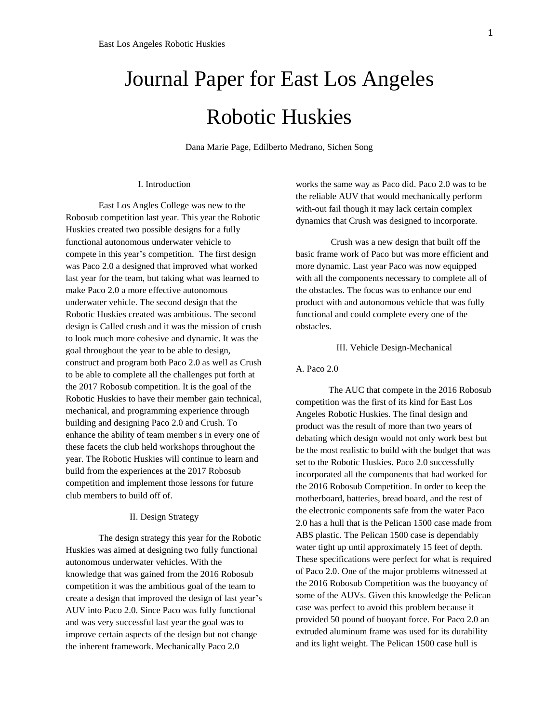# Journal Paper for East Los Angeles Robotic Huskies

Dana Marie Page, Edilberto Medrano, Sichen Song

#### I. Introduction

East Los Angles College was new to the Robosub competition last year. This year the Robotic Huskies created two possible designs for a fully functional autonomous underwater vehicle to compete in this year's competition. The first design was Paco 2.0 a designed that improved what worked last year for the team, but taking what was learned to make Paco 2.0 a more effective autonomous underwater vehicle. The second design that the Robotic Huskies created was ambitious. The second design is Called crush and it was the mission of crush to look much more cohesive and dynamic. It was the goal throughout the year to be able to design, construct and program both Paco 2.0 as well as Crush to be able to complete all the challenges put forth at the 2017 Robosub competition. It is the goal of the Robotic Huskies to have their member gain technical, mechanical, and programming experience through building and designing Paco 2.0 and Crush. To enhance the ability of team member s in every one of these facets the club held workshops throughout the year. The Robotic Huskies will continue to learn and build from the experiences at the 2017 Robosub competition and implement those lessons for future club members to build off of.

# II. Design Strategy

The design strategy this year for the Robotic Huskies was aimed at designing two fully functional autonomous underwater vehicles. With the knowledge that was gained from the 2016 Robosub competition it was the ambitious goal of the team to create a design that improved the design of last year's AUV into Paco 2.0. Since Paco was fully functional and was very successful last year the goal was to improve certain aspects of the design but not change the inherent framework. Mechanically Paco 2.0

works the same way as Paco did. Paco 2.0 was to be the reliable AUV that would mechanically perform with-out fail though it may lack certain complex dynamics that Crush was designed to incorporate.

Crush was a new design that built off the basic frame work of Paco but was more efficient and more dynamic. Last year Paco was now equipped with all the components necessary to complete all of the obstacles. The focus was to enhance our end product with and autonomous vehicle that was fully functional and could complete every one of the obstacles.

## III. Vehicle Design-Mechanical

## A. Paco 2.0

The AUC that compete in the 2016 Robosub competition was the first of its kind for East Los Angeles Robotic Huskies. The final design and product was the result of more than two years of debating which design would not only work best but be the most realistic to build with the budget that was set to the Robotic Huskies. Paco 2.0 successfully incorporated all the components that had worked for the 2016 Robosub Competition. In order to keep the motherboard, batteries, bread board, and the rest of the electronic components safe from the water Paco 2.0 has a hull that is the Pelican 1500 case made from ABS plastic. The Pelican 1500 case is dependably water tight up until approximately 15 feet of depth. These specifications were perfect for what is required of Paco 2.0. One of the major problems witnessed at the 2016 Robosub Competition was the buoyancy of some of the AUVs. Given this knowledge the Pelican case was perfect to avoid this problem because it provided 50 pound of buoyant force. For Paco 2.0 an extruded aluminum frame was used for its durability and its light weight. The Pelican 1500 case hull is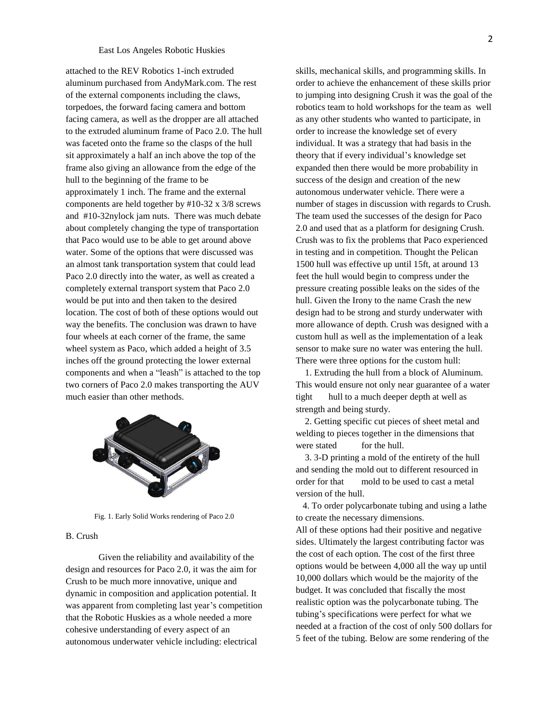## East Los Angeles Robotic Huskies

attached to the REV Robotics 1-inch extruded aluminum purchased from AndyMark.com. The rest of the external components including the claws, torpedoes, the forward facing camera and bottom facing camera, as well as the dropper are all attached to the extruded aluminum frame of Paco 2.0. The hull was faceted onto the frame so the clasps of the hull sit approximately a half an inch above the top of the frame also giving an allowance from the edge of the hull to the beginning of the frame to be approximately 1 inch. The frame and the external components are held together by #10-32 x 3/8 screws and #10-32nylock jam nuts. There was much debate about completely changing the type of transportation that Paco would use to be able to get around above water. Some of the options that were discussed was an almost tank transportation system that could lead Paco 2.0 directly into the water, as well as created a completely external transport system that Paco 2.0 would be put into and then taken to the desired location. The cost of both of these options would out way the benefits. The conclusion was drawn to have four wheels at each corner of the frame, the same wheel system as Paco, which added a height of 3.5 inches off the ground protecting the lower external components and when a "leash" is attached to the top two corners of Paco 2.0 makes transporting the AUV much easier than other methods.



Fig. 1. Early Solid Works rendering of Paco 2.0

# B. Crush

Given the reliability and availability of the design and resources for Paco 2.0, it was the aim for Crush to be much more innovative, unique and dynamic in composition and application potential. It was apparent from completing last year's competition that the Robotic Huskies as a whole needed a more cohesive understanding of every aspect of an autonomous underwater vehicle including: electrical

skills, mechanical skills, and programming skills. In order to achieve the enhancement of these skills prior to jumping into designing Crush it was the goal of the robotics team to hold workshops for the team as well as any other students who wanted to participate, in order to increase the knowledge set of every individual. It was a strategy that had basis in the theory that if every individual's knowledge set expanded then there would be more probability in success of the design and creation of the new autonomous underwater vehicle. There were a number of stages in discussion with regards to Crush. The team used the successes of the design for Paco 2.0 and used that as a platform for designing Crush. Crush was to fix the problems that Paco experienced in testing and in competition. Thought the Pelican 1500 hull was effective up until 15ft, at around 13 feet the hull would begin to compress under the pressure creating possible leaks on the sides of the hull. Given the Irony to the name Crash the new design had to be strong and sturdy underwater with more allowance of depth. Crush was designed with a custom hull as well as the implementation of a leak sensor to make sure no water was entering the hull. There were three options for the custom hull:

 1. Extruding the hull from a block of Aluminum. This would ensure not only near guarantee of a water tight hull to a much deeper depth at well as strength and being sturdy.

 2. Getting specific cut pieces of sheet metal and welding to pieces together in the dimensions that were stated for the hull.

 3. 3-D printing a mold of the entirety of the hull and sending the mold out to different resourced in order for that mold to be used to cast a metal version of the hull.

 4. To order polycarbonate tubing and using a lathe to create the necessary dimensions.

All of these options had their positive and negative sides. Ultimately the largest contributing factor was the cost of each option. The cost of the first three options would be between 4,000 all the way up until 10,000 dollars which would be the majority of the budget. It was concluded that fiscally the most realistic option was the polycarbonate tubing. The tubing's specifications were perfect for what we needed at a fraction of the cost of only 500 dollars for 5 feet of the tubing. Below are some rendering of the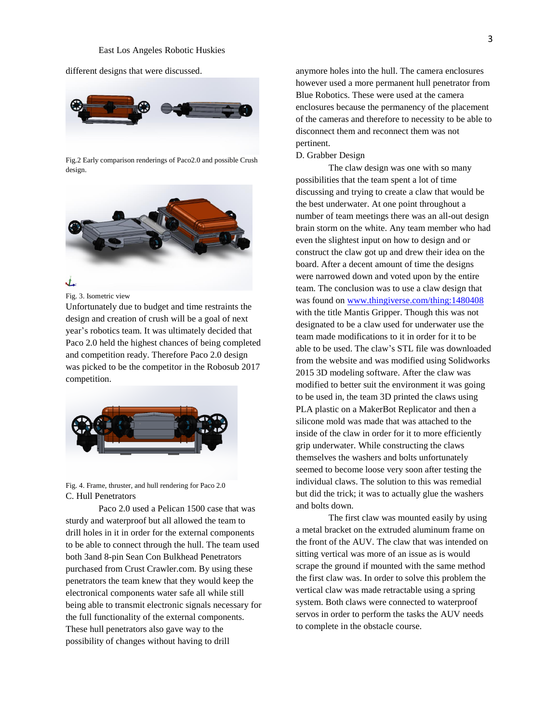different designs that were discussed.



Fig.2 Early comparison renderings of Paco2.0 and possible Crush design.



Fig. 3. Isometric view

Unfortunately due to budget and time restraints the design and creation of crush will be a goal of next year's robotics team. It was ultimately decided that Paco 2.0 held the highest chances of being completed and competition ready. Therefore Paco 2.0 design was picked to be the competitor in the Robosub 2017 competition.



Fig. 4. Frame, thruster, and hull rendering for Paco 2.0 C. Hull Penetrators

Paco 2.0 used a Pelican 1500 case that was sturdy and waterproof but all allowed the team to drill holes in it in order for the external components to be able to connect through the hull. The team used both 3and 8-pin Sean Con Bulkhead Penetrators purchased from Crust Crawler.com. By using these penetrators the team knew that they would keep the electronical components water safe all while still being able to transmit electronic signals necessary for the full functionality of the external components. These hull penetrators also gave way to the possibility of changes without having to drill

anymore holes into the hull. The camera enclosures however used a more permanent hull penetrator from Blue Robotics. These were used at the camera enclosures because the permanency of the placement of the cameras and therefore to necessity to be able to disconnect them and reconnect them was not pertinent.

### D. Grabber Design

The claw design was one with so many possibilities that the team spent a lot of time discussing and trying to create a claw that would be the best underwater. At one point throughout a number of team meetings there was an all-out design brain storm on the white. Any team member who had even the slightest input on how to design and or construct the claw got up and drew their idea on the board. After a decent amount of time the designs were narrowed down and voted upon by the entire team. The conclusion was to use a claw design that was found on [www.thingiverse.com/thing:1480408](http://www.thingiverse.com/thing:1480408) with the title Mantis Gripper. Though this was not designated to be a claw used for underwater use the team made modifications to it in order for it to be able to be used. The claw's STL file was downloaded from the website and was modified using Solidworks 2015 3D modeling software. After the claw was modified to better suit the environment it was going to be used in, the team 3D printed the claws using PLA plastic on a MakerBot Replicator and then a silicone mold was made that was attached to the inside of the claw in order for it to more efficiently grip underwater. While constructing the claws themselves the washers and bolts unfortunately seemed to become loose very soon after testing the individual claws. The solution to this was remedial but did the trick; it was to actually glue the washers and bolts down.

The first claw was mounted easily by using a metal bracket on the extruded aluminum frame on the front of the AUV. The claw that was intended on sitting vertical was more of an issue as is would scrape the ground if mounted with the same method the first claw was. In order to solve this problem the vertical claw was made retractable using a spring system. Both claws were connected to waterproof servos in order to perform the tasks the AUV needs to complete in the obstacle course.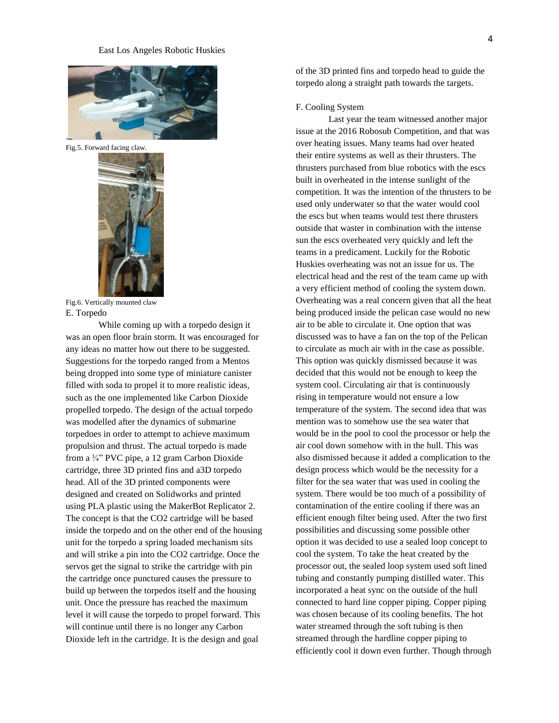

Fig.5. Forward facing claw.



Fig.6. Vertically mounted claw E. Torpedo

While coming up with a torpedo design it was an open floor brain storm. It was encouraged for any ideas no matter how out there to be suggested. Suggestions for the torpedo ranged from a Mentos being dropped into some type of miniature canister filled with soda to propel it to more realistic ideas, such as the one implemented like Carbon Dioxide propelled torpedo. The design of the actual torpedo was modelled after the dynamics of submarine torpedoes in order to attempt to achieve maximum propulsion and thrust. The actual torpedo is made from a ¾" PVC pipe, a 12 gram Carbon Dioxide cartridge, three 3D printed fins and a3D torpedo head. All of the 3D printed components were designed and created on Solidworks and printed using PLA plastic using the MakerBot Replicator 2. The concept is that the CO2 cartridge will be based inside the torpedo and on the other end of the housing unit for the torpedo a spring loaded mechanism sits and will strike a pin into the CO2 cartridge. Once the servos get the signal to strike the cartridge with pin the cartridge once punctured causes the pressure to build up between the torpedos itself and the housing unit. Once the pressure has reached the maximum level it will cause the torpedo to propel forward. This will continue until there is no longer any Carbon Dioxide left in the cartridge. It is the design and goal

of the 3D printed fins and torpedo head to guide the torpedo along a straight path towards the targets.

# F. Cooling System

Last year the team witnessed another major issue at the 2016 Robosub Competition, and that was over heating issues. Many teams had over heated their entire systems as well as their thrusters. The thrusters purchased from blue robotics with the escs built in overheated in the intense sunlight of the competition. It was the intention of the thrusters to be used only underwater so that the water would cool the escs but when teams would test there thrusters outside that waster in combination with the intense sun the escs overheated very quickly and left the teams in a predicament. Luckily for the Robotic Huskies overheating was not an issue for us. The electrical head and the rest of the team came up with a very efficient method of cooling the system down. Overheating was a real concern given that all the heat being produced inside the pelican case would no new air to be able to circulate it. One option that was discussed was to have a fan on the top of the Pelican to circulate as much air with in the case as possible. This option was quickly dismissed because it was decided that this would not be enough to keep the system cool. Circulating air that is continuously rising in temperature would not ensure a low temperature of the system. The second idea that was mention was to somehow use the sea water that would be in the pool to cool the processor or help the air cool down somehow with in the hull. This was also dismissed because it added a complication to the design process which would be the necessity for a filter for the sea water that was used in cooling the system. There would be too much of a possibility of contamination of the entire cooling if there was an efficient enough filter being used. After the two first possibilities and discussing some possible other option it was decided to use a sealed loop concept to cool the system. To take the heat created by the processor out, the sealed loop system used soft lined tubing and constantly pumping distilled water. This incorporated a heat sync on the outside of the hull connected to hard line copper piping. Copper piping was chosen because of its cooling benefits. The hot water streamed through the soft tubing is then streamed through the hardline copper piping to efficiently cool it down even further. Though through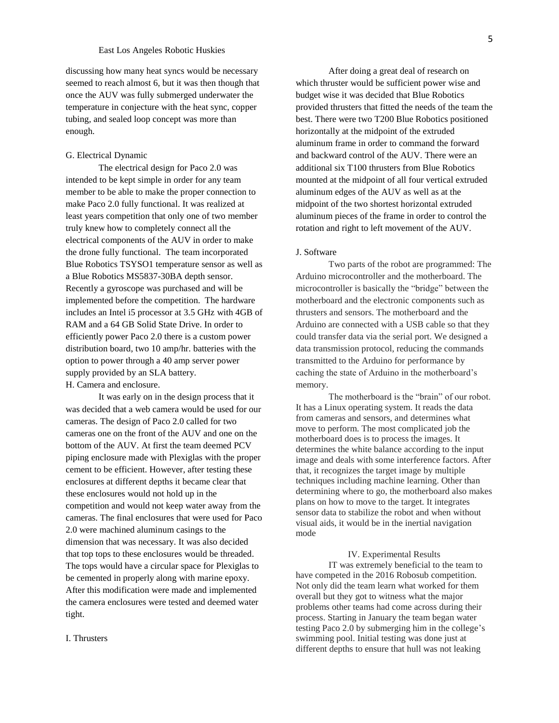# East Los Angeles Robotic Huskies

discussing how many heat syncs would be necessary seemed to reach almost 6, but it was then though that once the AUV was fully submerged underwater the temperature in conjecture with the heat sync, copper tubing, and sealed loop concept was more than enough.

# G. Electrical Dynamic

The electrical design for Paco 2.0 was intended to be kept simple in order for any team member to be able to make the proper connection to make Paco 2.0 fully functional. It was realized at least years competition that only one of two member truly knew how to completely connect all the electrical components of the AUV in order to make the drone fully functional. The team incorporated Blue Robotics TSYSO1 temperature sensor as well as a Blue Robotics MS5837-30BA depth sensor. Recently a gyroscope was purchased and will be implemented before the competition. The hardware includes an Intel i5 processor at 3.5 GHz with 4GB of RAM and a 64 GB Solid State Drive. In order to efficiently power Paco 2.0 there is a custom power distribution board, two 10 amp/hr. batteries with the option to power through a 40 amp server power supply provided by an SLA battery. H. Camera and enclosure.

It was early on in the design process that it was decided that a web camera would be used for our cameras. The design of Paco 2.0 called for two cameras one on the front of the AUV and one on the bottom of the AUV. At first the team deemed PCV piping enclosure made with Plexiglas with the proper cement to be efficient. However, after testing these enclosures at different depths it became clear that these enclosures would not hold up in the competition and would not keep water away from the cameras. The final enclosures that were used for Paco 2.0 were machined aluminum casings to the dimension that was necessary. It was also decided that top tops to these enclosures would be threaded. The tops would have a circular space for Plexiglas to be cemented in properly along with marine epoxy. After this modification were made and implemented the camera enclosures were tested and deemed water tight.

After doing a great deal of research on which thruster would be sufficient power wise and budget wise it was decided that Blue Robotics provided thrusters that fitted the needs of the team the best. There were two T200 Blue Robotics positioned horizontally at the midpoint of the extruded aluminum frame in order to command the forward and backward control of the AUV. There were an additional six T100 thrusters from Blue Robotics mounted at the midpoint of all four vertical extruded aluminum edges of the AUV as well as at the midpoint of the two shortest horizontal extruded aluminum pieces of the frame in order to control the rotation and right to left movement of the AUV.

#### J. Software

Two parts of the robot are programmed: The Arduino microcontroller and the motherboard. The microcontroller is basically the "bridge" between the motherboard and the electronic components such as thrusters and sensors. The motherboard and the Arduino are connected with a USB cable so that they could transfer data via the serial port. We designed a data transmission protocol, reducing the commands transmitted to the Arduino for performance by caching the state of Arduino in the motherboard's memory.

The motherboard is the "brain" of our robot. It has a Linux operating system. It reads the data from cameras and sensors, and determines what move to perform. The most complicated job the motherboard does is to process the images. It determines the white balance according to the input image and deals with some interference factors. After that, it recognizes the target image by multiple techniques including machine learning. Other than determining where to go, the motherboard also makes plans on how to move to the target. It integrates sensor data to stabilize the robot and when without visual aids, it would be in the inertial navigation mode

### IV. Experimental Results

IT was extremely beneficial to the team to have competed in the 2016 Robosub competition. Not only did the team learn what worked for them overall but they got to witness what the major problems other teams had come across during their process. Starting in January the team began water testing Paco 2.0 by submerging him in the college's swimming pool. Initial testing was done just at different depths to ensure that hull was not leaking